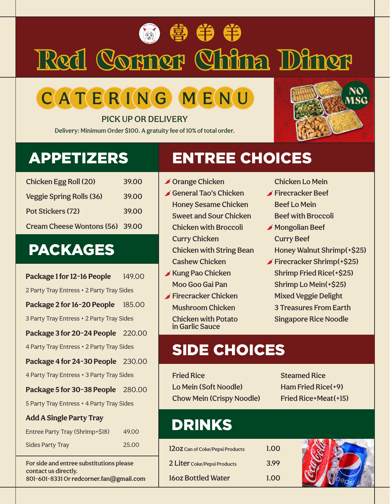# Red Corner China Diner **● 争 争 争**

# $C$  ATE R ING M ENU

PICK UP OR DELIVERY

Delivery: Minimum Order \$100. A gratuity fee of 10% of total order.



| Chicken Egg Roll (20)           | 39.00 |
|---------------------------------|-------|
| <b>Veggie Spring Rolls (36)</b> | 39.00 |
| Pot Stickers (72)               | 39.00 |
| Cream Cheese Wontons (56) 39.00 |       |

### PACKAGES

**Package 1 for 12-16 People** 149.00 2 Party Tray Entress + 2 Party Tray Sides **Package 2 for 16-20 People** 185.00 3 Party Tray Entress + 2 Party Tray Sides **Package 3 for 20-24 People** 220.00 4 Party Tray Entress + 2 Party Tray Sides **Package 4 for 24-30 People** 230.00 4 Party Tray Entress + 3 Party Tray Sides **Package 5 for 30-38 People** 280.00 5 Party Tray Entress + 4 Party Tray Sides **Add A Single Party Tray** Entree Party Tray (Shrimp+\$18) 49.00

Sides Party Tray 25.00

For side and entree substitutions please contact us directly. 801-601-8331 Or redcorner.fan@gmail.com

### APPETIZERS ENTREE CHOICES

- **S** Orange Chicken General Tao's Chicken Honey Sesame Chicken Sweet and Sour Chicken Chicken with Broccoli Curry Chicken Chicken with String Bean Cashew Chicken
- $\blacktriangleright$  Kung Pao Chicken Moo Goo Gai Pan
- Firecracker Chicken Mushroom Chicken Chicken with Potato in Garlic Sauce

### Chicken Lo Mein

- Firecracker Beef Beef Lo Mein Beef with Broccoli
- Mongolian Beef Curry Beef Honey Walnut Shrimp(+\$25)
- Firecracker Shrimp(+\$25) Shrimp Fried Rice(+\$25) Shrimp Lo Mein(+\$25) Mixed Veggie Delight 3 Treasures From Earth Singapore Rice Noodle

### SIDE CHOICES

Fried Rice Lo Mein (Soft Noodle) Chow Mein (Crispy Noodle) Steamed Rice Ham Fried Rice(+9) Fried Rice+Meat(+15)

## DRINKS

| 1202 Can of Coke/Pepsi Products | 1.00 |
|---------------------------------|------|
| 2 Liter Coke/Pepsi Products     | 3.99 |
| <b>160z Bottled Water</b>       | 1.00 |